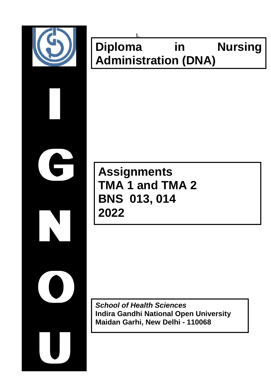

# **1. Diploma in Nursing Administration (DNA)**

# **Assignments TMA 1 and TMA 2 BNS 013, 014 2022**

*School of Health Sciences*  **Indira Gandhi National Open University Maidan Garhi, New Delhi - 110068**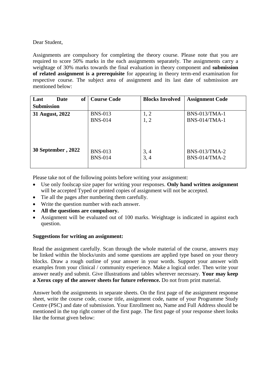Dear Student,

Assignments are compulsory for completing the theory course. Please note that you are required to score 50% marks in the each assignments separately. The assignments carry a weightage of 30% marks towards the final evaluation in theory component and **submission of related assignment is a prerequisite** for appearing in theory term-end examination for respective course. The subject area of assignment and its last date of submission are mentioned below:

| <sub>of</sub><br><b>Date</b><br>Last | <b>Course Code</b> | <b>Blocks Involved</b> | <b>Assignment Code</b> |
|--------------------------------------|--------------------|------------------------|------------------------|
| <b>Submission</b>                    |                    |                        |                        |
| 31 August, 2022                      | <b>BNS-013</b>     | 1, 2                   | <b>BNS-013/TMA-1</b>   |
|                                      | <b>BNS-014</b>     | 1, 2                   | <b>BNS-014/TMA-1</b>   |
|                                      |                    |                        |                        |
|                                      |                    |                        |                        |
|                                      |                    |                        |                        |
| 30 September, 2022                   | <b>BNS-013</b>     | 3, 4                   | <b>BNS-013/TMA-2</b>   |
|                                      | <b>BNS-014</b>     | 3, 4                   | $BNS-014/TMA-2$        |
|                                      |                    |                        |                        |

Please take not of the following points before writing your assignment:

- Use only foolscap size paper for writing your responses. **Only hand written assignment**  will be accepted Typed or printed copies of assignment will not be accepted.
- Tie all the pages after numbering them carefully.
- Write the question number with each answer.
- **All the questions are compulsory.**
- Assignment will be evaluated out of 100 marks. Weightage is indicated in against each question.

#### **Suggestions for writing an assignment:**

Read the assignment carefully. Scan through the whole material of the course, answers may be linked within the blocks/units and some questions are applied type based on your theory blocks. Draw a rough outline of your answer in your words. Support your answer with examples from your clinical / community experience. Make a logical order. Then write your answer neatly and submit. Give illustrations and tables wherever necessary. **Your may keep a Xerox copy of the answer sheets for future reference.** Do not from print material.

Answer both the assignments in separate sheets. On the first page of the assignment response sheet, write the course code, course title, assignment code, name of your Programme Study Centre (PSC) and date of submission. Your Enrollment no, Name and Full Address should be mentioned in the top right corner of the first page. The first page of your response sheet looks like the format given below: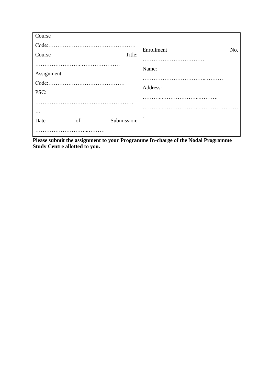| Course                            |    |             |                   |
|-----------------------------------|----|-------------|-------------------|
| Code:.<br>Course                  |    | .<br>Title: | Enrollment<br>No. |
| Assignment<br>Code:.<br>.<br>PSC: |    |             | Name:<br>Address: |
| Date                              | of | Submission: |                   |

**Please submit the assignment to your Programme In-charge of the Nodal Programme Study Centre allotted to you.**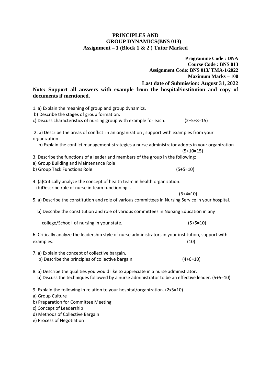#### **PRINCIPLES AND GROUP DYNAMICS(BNS 013) Assignment – 1 (Block 1 & 2 ) Tutor Marked**

|                                                                                                                                                                                          | <b>Programme Code : DNA</b>              |
|------------------------------------------------------------------------------------------------------------------------------------------------------------------------------------------|------------------------------------------|
|                                                                                                                                                                                          | <b>Course Code: BNS 013</b>              |
|                                                                                                                                                                                          | Assignment Code: BNS 013/ TMA-1/2022     |
|                                                                                                                                                                                          | <b>Maximum Marks - 100</b>               |
|                                                                                                                                                                                          | Last date of Submission: August 31, 2022 |
| Note: Support all answers with example from the hospital/institution and copy of                                                                                                         |                                          |
| documents if mentioned.                                                                                                                                                                  |                                          |
|                                                                                                                                                                                          |                                          |
| 1. a) Explain the meaning of group and group dynamics.<br>b) Describe the stages of group formation.                                                                                     |                                          |
| c) Discuss characteristics of nursing group with example for each.                                                                                                                       | $(2+5+8=15)$                             |
| 2. a) Describe the areas of conflict in an organization, support with examples from your<br>organization.                                                                                |                                          |
| b) Explain the conflict management strategies a nurse administrator adopts in your organization                                                                                          | $(5+10=15)$                              |
| 3. Describe the functions of a leader and members of the group in the following:                                                                                                         |                                          |
| a) Group Building and Maintenance Role                                                                                                                                                   |                                          |
| b) Group Tack Functions Role                                                                                                                                                             | $(5+5=10)$                               |
|                                                                                                                                                                                          |                                          |
| 4. (a)Critically analyze the concept of health team in health organization.<br>(b) Describe role of nurse in team functioning.                                                           |                                          |
|                                                                                                                                                                                          | $(6+4=10)$                               |
| 5. a) Describe the constitution and role of various committees in Nursing Service in your hospital.                                                                                      |                                          |
| b) Describe the constitution and role of various committees in Nursing Education in any                                                                                                  |                                          |
| college/School of nursing in your state.                                                                                                                                                 | $(5+5=10)$                               |
| 6. Critically analyze the leadership style of nurse administrators in your institution, support with<br>examples.                                                                        | (10)                                     |
|                                                                                                                                                                                          |                                          |
| 7. a) Explain the concept of collective bargain.<br>b) Describe the principles of collective bargain.                                                                                    | $(4+6=10)$                               |
| 8. a) Describe the qualities you would like to appreciate in a nurse administrator.<br>b) Discuss the techniques followed by a nurse administrator to be an effective leader. $(5+5=10)$ |                                          |

9. Explain the following in relation to your hospital/organization. (2x5=10)

a) Group Culture

b) Preparation for Committee Meeting

c) Concept of Leadership

d) Methods of Collective Bargain

e) Process of Negotiation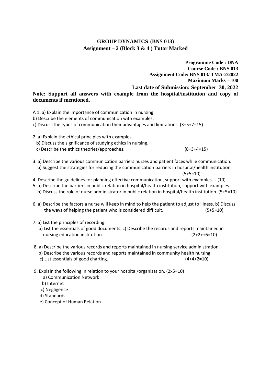#### **GROUP DYNAMICS (BNS 013) Assignment – 2 (Block 3 & 4 ) Tutor Marked**

**Programme Code : DNA Course Code : BNS 013 Assignment Code: BNS 013/ TMA-2/2022 Maximum Marks – 100 Last date of Submission: September 30, 2022 Note: Support all answers with example from the hospital/institution and copy of documents if mentioned.**

A 1. a) Explain the importance of communication in nursing.

b) Describe the elements of communication with examples.

c) Discuss the types of communication their advantages and limitations. (3+5+7=15)

2. a) Explain the ethical principles with examples.

b) Discuss the significance of studying ethics in nursing.

c) Describe the ethics theories/approaches. (8+3+4=15)

3. a) Describe the various communication barriers nurses and patient faces while communication. b) Suggest the strategies for reducing the communication barriers in hospital/health institution.

$$
(5+5=10)
$$

4. Describe the guidelines for planning effective communication, support with examples. (10)

- 5. a) Describe the barriers in public relation in hospital/health institution, support with examples.
- b) Discuss the role of nurse administrator in public relation in hospital/health institution. (5+5=10)
- 6. a) Describe the factors a nurse will keep in mind to help the patient to adjust to illness. b) Discuss the ways of helping the patient who is considered difficult. (5+5=10)
- 7. a) List the principles of recording.
	- b) List the essentials of good documents. c) Describe the records and reports maintained in nursing education institution.  $(2+2++6=10)$
- 8. a) Describe the various records and reports maintained in nursing service administration.
	- b) Describe the various records and reports maintained in community health nursing.
	- c) List essentials of good charting. (4+4+2=10)
- 9. Explain the following in relation to your hospital/organization. (2x5=10)
	- a) Communication Network
	- b) Internet
	- c) Negligence
	- d) Standards
	- e) Concept of Human Relation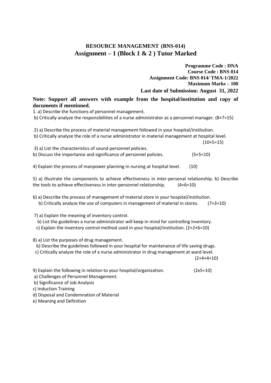## **RESOURCE MANAGEMENT (BNS-014) Assignment – 1 (Block 1 & 2 ) Tutor Marked**

**Programme Code : DNA Course Code : BNS 014 Assignment Code: BNS 014/ TMA-1/2022 Maximum Marks – 100 Last date of Submission: August 31, 2022 Note: Support all answers with example from the hospital/institution and copy of documents if mentioned.** 1. a) Describe the functions of personnel management. b) Critically analyze the responsibilities of a nurse administrator as a personnel manager. (8+7=15) 2) a) Describe the process of material management followed in your hospital/institution. b) Critically analyze the role of a nurse administrator in material management at hospital level.  $(10+5=15)$ 3) a) List the characteristics of sound personnel policies. b) Discuss the importance and significance of personnel policies. (5+5=10) 4) Explain the process of manpower planning in nursing at hospital level. (10) 5) a) Illustrate the components to achieve effectiveness in inter-personal relationship. b) Describe the tools to achieve effectiveness in inter-personnel relationship. (4+6=10) 6) a) Describe the process of management of material store in your hospital/institution. b) Critically analyze the use of computers in management of material in stores. (7+3=10) 7) a) Explain the meaning of inventory control. b) List the guidelines a nurse administrator will keep in mind for controlling inventory. c) Explain the inventory control method used in your hospital/institution. (2+2+6=10) 8) a) List the purposes of drug management. b) Describe the guidelines followed in your hospital for maintenance of life saving drugs. c) Critically analyze the role of a nurse administrator in drug management at ward level.  $(2+4+4=10)$ 9) Explain the following in relation to your hospital/organization. (2x5=10)

- a) Challenges of Personnel Management.
- b) Significance of Job Analysis
- c) Induction Training
- d) Disposal and Condemnation of Material
- e) Meaning and Definition